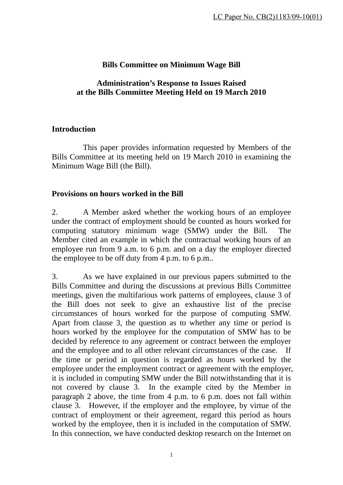# **Bills Committee on Minimum Wage Bill**

### **Administration's Response to Issues Raised at the Bills Committee Meeting Held on 19 March 2010**

### **Introduction**

 This paper provides information requested by Members of the Bills Committee at its meeting held on 19 March 2010 in examining the Minimum Wage Bill (the Bill).

#### **Provisions on hours worked in the Bill**

2. A Member asked whether the working hours of an employee under the contract of employment should be counted as hours worked for computing statutory minimum wage (SMW) under the Bill. The Member cited an example in which the contractual working hours of an employee run from 9 a.m. to 6 p.m. and on a day the employer directed the employee to be off duty from 4 p.m. to 6 p.m..

3. As we have explained in our previous papers submitted to the Bills Committee and during the discussions at previous Bills Committee meetings, given the multifarious work patterns of employees, clause 3 of the Bill does not seek to give an exhaustive list of the precise circumstances of hours worked for the purpose of computing SMW. Apart from clause 3, the question as to whether any time or period is hours worked by the employee for the computation of SMW has to be decided by reference to any agreement or contract between the employer and the employee and to all other relevant circumstances of the case. If the time or period in question is regarded as hours worked by the employee under the employment contract or agreement with the employer, it is included in computing SMW under the Bill notwithstanding that it is not covered by clause 3. In the example cited by the Member in paragraph 2 above, the time from 4 p.m. to 6 p.m. does not fall within clause 3. However, if the employer and the employee, by virtue of the contract of employment or their agreement, regard this period as hours worked by the employee, then it is included in the computation of SMW. In this connection, we have conducted desktop research on the Internet on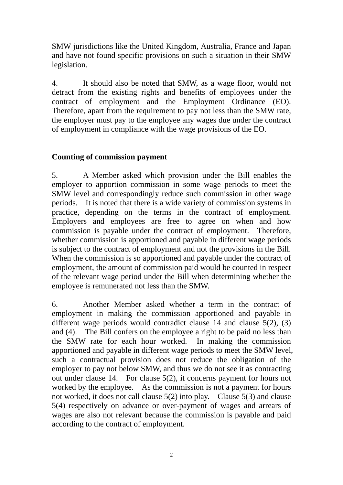SMW jurisdictions like the United Kingdom, Australia, France and Japan and have not found specific provisions on such a situation in their SMW legislation.

4. It should also be noted that SMW, as a wage floor, would not detract from the existing rights and benefits of employees under the contract of employment and the Employment Ordinance (EO). Therefore, apart from the requirement to pay not less than the SMW rate, the employer must pay to the employee any wages due under the contract of employment in compliance with the wage provisions of the EO.

# **Counting of commission payment**

5. A Member asked which provision under the Bill enables the employer to apportion commission in some wage periods to meet the SMW level and correspondingly reduce such commission in other wage periods. It is noted that there is a wide variety of commission systems in practice, depending on the terms in the contract of employment. Employers and employees are free to agree on when and how commission is payable under the contract of employment. Therefore, whether commission is apportioned and payable in different wage periods is subject to the contract of employment and not the provisions in the Bill. When the commission is so apportioned and payable under the contract of employment, the amount of commission paid would be counted in respect of the relevant wage period under the Bill when determining whether the employee is remunerated not less than the SMW.

6. Another Member asked whether a term in the contract of employment in making the commission apportioned and payable in different wage periods would contradict clause 14 and clause 5(2), (3) and (4). The Bill confers on the employee a right to be paid no less than the SMW rate for each hour worked. In making the commission apportioned and payable in different wage periods to meet the SMW level, such a contractual provision does not reduce the obligation of the employer to pay not below SMW, and thus we do not see it as contracting out under clause 14. For clause 5(2), it concerns payment for hours not worked by the employee. As the commission is not a payment for hours not worked, it does not call clause 5(2) into play. Clause 5(3) and clause 5(4) respectively on advance or over-payment of wages and arrears of wages are also not relevant because the commission is payable and paid according to the contract of employment.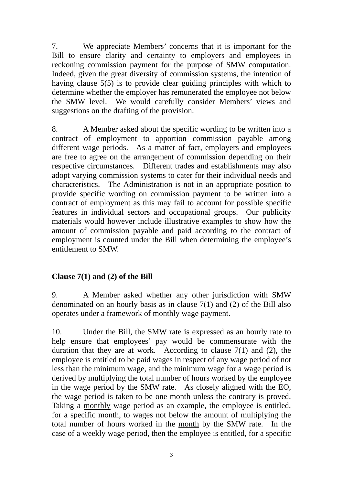7. We appreciate Members' concerns that it is important for the Bill to ensure clarity and certainty to employers and employees in reckoning commission payment for the purpose of SMW computation. Indeed, given the great diversity of commission systems, the intention of having clause 5(5) is to provide clear guiding principles with which to determine whether the employer has remunerated the employee not below the SMW level. We would carefully consider Members' views and suggestions on the drafting of the provision.

8. A Member asked about the specific wording to be written into a contract of employment to apportion commission payable among different wage periods. As a matter of fact, employers and employees are free to agree on the arrangement of commission depending on their respective circumstances. Different trades and establishments may also adopt varying commission systems to cater for their individual needs and characteristics. The Administration is not in an appropriate position to provide specific wording on commission payment to be written into a contract of employment as this may fail to account for possible specific features in individual sectors and occupational groups. Our publicity materials would however include illustrative examples to show how the amount of commission payable and paid according to the contract of employment is counted under the Bill when determining the employee's entitlement to SMW.

# **Clause 7(1) and (2) of the Bill**

9. A Member asked whether any other jurisdiction with SMW denominated on an hourly basis as in clause 7(1) and (2) of the Bill also operates under a framework of monthly wage payment.

10. Under the Bill, the SMW rate is expressed as an hourly rate to help ensure that employees' pay would be commensurate with the duration that they are at work. According to clause 7(1) and (2), the employee is entitled to be paid wages in respect of any wage period of not less than the minimum wage, and the minimum wage for a wage period is derived by multiplying the total number of hours worked by the employee in the wage period by the SMW rate. As closely aligned with the EO, the wage period is taken to be one month unless the contrary is proved. Taking a monthly wage period as an example, the employee is entitled, for a specific month, to wages not below the amount of multiplying the total number of hours worked in the month by the SMW rate. In the case of a weekly wage period, then the employee is entitled, for a specific